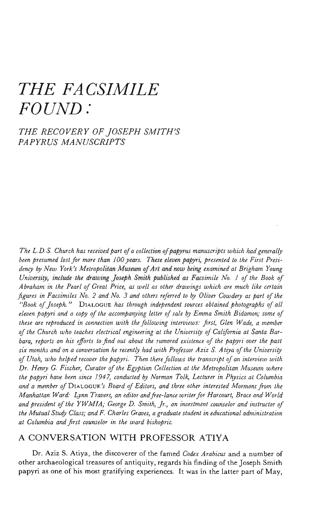## *THE FACSIMILE FOUND:*

*THE RECOVERY OF JOSEPH SMITH'S PAPYRUS MANUSCRIPTS*

*The L.D.S. Church has received part of a collection of papyrus manuscripts which had generally been presumed lost for more than 100 years. These eleven papyri, presented to the First Presidency by New York's Metropolitan Museum of Art and now being examined at Brigham Young University, include the drawing Joseph Smith published as Facsimile No. 1 of the Book of Abraham in the Pearl of Great Price, as well as other drawings which are much like certain figures in Facsimiles No. 2 and No. 3 and others referred to by Oliver Cowdery as part of the "Book ofJoseph."* DIALOGUE *has through independent sources obtained photographs of all eleven papyri and a copy of the accompanying letter of sale by Emma Smith Bidamon; some of these are reproduced in connection with the following interviews: first, Glen Wade, a member of the Church who teaches electrical engineering at the University of California at Santa Barbara, reports on his efforts to find out about the rumored existence of the papyri over the past six months and on a conversation he recently had with Professor Aziz S. Atiya of the University of Utah, who helped recover the papyri. Then there follows the transcript of an interview with Dr. Henry G. Fischer, Curator of the Egyptian Collection at the Metropolitan Museum where the papyri have been since 1947, conducted by Norman Tolk, Lecturer in Physics at Columbia and a member of* DIALOGUE^ *Board of Editors, and three other interested Mormons from the Manhattan Ward: Lynn Trovers, an editor and free-lance writer for Harcourt, Brace and World and president of the YWMIA; George D. Smith, Jr., an investment counselor and instructor of the Mutual Study Class; and F. Charles Graves, a graduate student in educational administration at Columbia and first counselor in the ward bishopric.*

## A CONVERSATION WITH PROFESSOR ATIYA

Dr. Aziz S. Atiya, the discoverer of the famed *Codex Arabicus* and a number of other archaeological treasures of antiquity, regards his finding of the Joseph Smith papyri as one of his most gratifying experiences. It was in the latter part of May,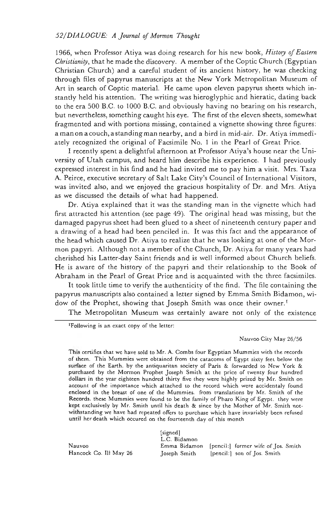## *52/DIALOGUE: A Journal of Mormon Thought*

1966, when Professor Atiya was doing research for his new book, *History of Eastern Christianity,* that he made the discovery. A member of the Coptic Church (Egyptian Christian Church) and a careful student of its ancient history, he was checking through files of papyrus manuscripts at the New York Metropolitan Museum of Art in search of Coptic material. He came upon eleven papyrus sheets which instantly held his attention. The writing was hieroglyphic and hieratic, dating back to the era 500 B.C. to 1000 B.C. and obviously having no bearing on his research, but nevertheless, something caught his eye. The first of the eleven sheets, somewhat fragmented and with portions missing, contained a vignette showing three figures: a man on a couch, a standing man nearby, and a bird in mid-air. Dr. Atiya immediately recognized the original of Facsimile No. 1 in the Pearl of Great Price.

I recently spent a delightful afternoon at Professor Atiya's house near the University of Utah campus, and heard him describe his experience. I had previously expressed interest in his find and he had invited me to pay him a visit. Mrs. Taza A. Peirce, executive secretary of Salt Lake City's Council of International Visitors, was invited also, and we enjoyed the gracious hospitality of Dr. and Mrs. Atiya as we discussed the details of what had happened.

Dr. Atiya explained that it was the standing man in the vignette which had first attracted his attention (see page 49). The original head was missing, but the damaged papyrus sheet had been glued to a sheet of nineteenth century paper and a drawing of a head had been penciled in. It was this fact and the appearance of the head which caused Dr. Atiya to realize that he was looking at one of the Mormon papyri. Although not a member of the Church, Dr. Atiya for many years had cherished his Latter-day Saint friends and is well informed about Church beliefs. He is aware of the history of the papyri and their relationship to the Book of Abraham in the Pearl of Great Price and is acquainted with the three facsimiles.

It took little time to verify the authenticity of the find. The file containing the papyrus manuscripts also contained a letter signed by Emma Smith Bidamon, widow of the Prophet, showing that Joseph Smith was once their owner.<sup>1</sup>

The Metropolitan Museum was certainly aware not only of the existence

<sup>1</sup>Following is an exact copy of the letter:

## Nauvoo City May 26/56

This certifies that we have sold to Mr. A. Combs four Egyptian Mummies with the records of them. This Mummies were obtained from the catacoms of Egypt sixty feet below the surface of the Earth, by the antiquaritan society of Paris & forwarded to New York & purchased by the Mormon Prophet Joseph Smith at the price of twenty four hundred dollars in the year eighteen hundred thirty five they were highly prized by Mr. Smith on account of the importance which attached to the record which were accidentaly found enclosed in the breast of one of the Mummies, from translations by Mr. Smith of the Records, these Mummies were found to be the family of Pharo King of Egypt, they were kept exclusively by Mr. Smith until his death & since by the Mother of Mr. Smith notwithstanding we have had repeated offers to purchase which have invariably been refused until her death which occured on the fourteenth day of this month

[signed] L.C. Bidamon Nauvoo Emma Bidamon [pencil:] former wife of Jos. Smith Hancock Co. Ill May 26 Joseph Smith [pencil:] son of Jos. Smith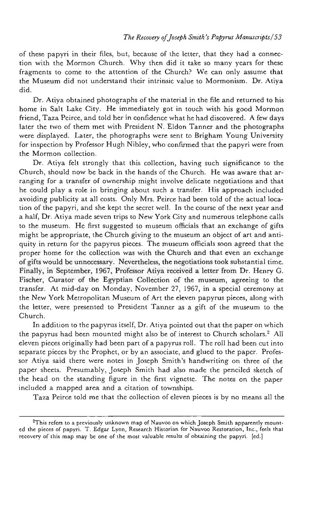of these papyri in their files, but, because of the letter, that they had a connection with the Mormon Church. Why then did it take so many years for these fragments to come to the attention of the Church? We can only assume that the Museum did not understand their intrinsic value to Mormonism. Dr. Atiya did.

Dr. Atiya obtained photographs of the material in the file and returned to his home in Salt Lake City. He immediately got in touch with his good Mormon friend, Taza Peirce, and told her in confidence what he had discovered. A few days later the two of them met with President N. Eldon Tanner and the photographs were displayed. Later, the photographs were sent to Brigham Young University for inspection by Professor Hugh Nibley, who confirmed that the papyri were from the Mormon collection.

Dr. Atiya felt strongly that this collection, having such significance to the Church, should now be back in the hands of the Church. He was aware that arranging for a transfer of ownership might involve delicate negotiations and that he could play a role in bringing about such a transfer. His approach included avoiding publicity at all costs. Only Mrs. Peirce had been told of the actual location of the papyri, and she kept the secret well. In the course of the next year and a half, Dr. Atiya made seven trips to New York City and numerous telephone calls to the museum. He first suggested to museum officials that an exchange of gifts might be appropriate, the Church giving to the museum an object of art and antiquity in return for the papyrus pieces. The museum officials soon agreed that the proper home for the collection was with the Church and that even an exchange of gifts would be unnecessary. Nevertheless, the negotiations took substantial time. Finally, in September, 1967, Professor Atiya received a letter from Dr. Henry G. Fischer, Curator of the Egyptian Collection of the museum, agreeing to the transfer. At mid-day on Monday, November 27, 1967, in a special ceremony at the New York Metropolitan Museum of Art the eleven papyrus pieces, along with the letter, were presented to President Tanner as a gift of the museum to the Church.

In addition to the papyrus itself, Dr. Atiya pointed out that the paper on which the papyrus had been mounted might also be of interest to Church scholars.<sup>2</sup> All eleven pieces originally had been part of a papyrus roll. The roll had been cut into separate pieces by the Prophet, or by an associate, and glued to the paper. Professor Atiya said there were notes in Joseph Smith's handwriting on three of the paper sheets. Presumably, Joseph Smith had also made the penciled sketch of the head on the standing figure in the first vignette. The notes on the paper included a mapped area and a citation of townships.

Taza Peirce told me that the collection of eleven pieces is by no means all the

<sup>2</sup> This refers to a previously unknown map of Nauvoo on which Joseph Smith apparently mounted the pieces of papyri. T. Edgar Lyon, Research Historian for Nauvoo Restoration, Inc., feels that recovery of this map may be one of the most valuable results of obtaining the papyri, [ed.]